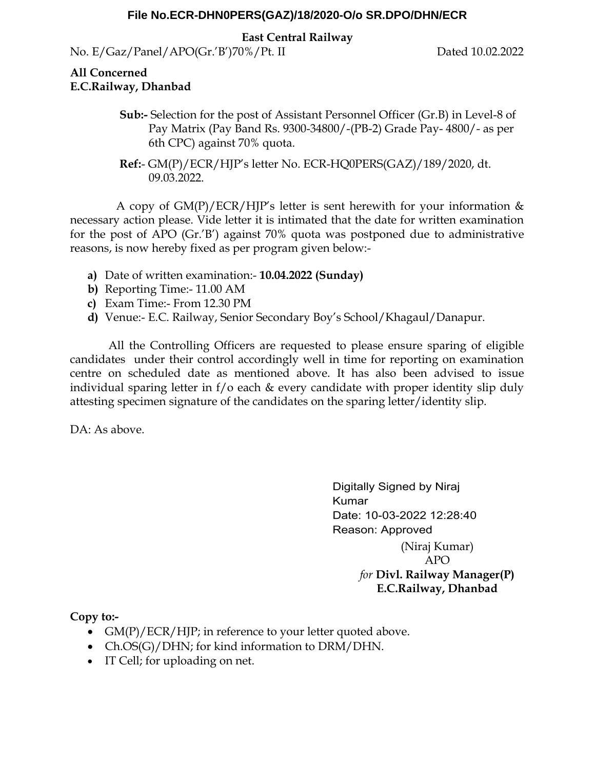#### **File No.ECR-DHN0PERS(GAZ)/18/2020-O/o SR.DPO/DHN/ECR**

**East Central Railway**

No. E/Gaz/Panel/APO(Gr.'B')70%/Pt. II Dated 10.02.2022

#### **All Concerned E.C.Railway, Dhanbad**

- **Sub:-** Selection for the post of Assistant Personnel Officer (Gr.B) in Level-8 of Pay Matrix (Pay Band Rs. 9300-34800/-(PB-2) Grade Pay- 4800/- as per 6th CPC) against 70% quota.
- **Ref:** GM(P)/ECR/HJP's letter No. ECR-HQ0PERS(GAZ)/189/2020, dt. 09.03.2022.

A copy of  $GM(P)/ECR/H$ ]P's letter is sent herewith for your information  $\&$ necessary action please. Vide letter it is intimated that the date for written examination for the post of APO (Gr.'B') against 70% quota was postponed due to administrative reasons, is now hereby fixed as per program given below:-

- **a)** Date of written examination:- **10.04.2022 (Sunday)**
- **b)** Reporting Time:- 11.00 AM
- **c)** Exam Time:- From 12.30 PM
- **d)** Venue:- E.C. Railway, Senior Secondary Boy's School/Khagaul/Danapur.

 All the Controlling Officers are requested to please ensure sparing of eligible candidates under their control accordingly well in time for reporting on examination centre on scheduled date as mentioned above. It has also been advised to issue individual sparing letter in f/o each & every candidate with proper identity slip duly attesting specimen signature of the candidates on the sparing letter/identity slip.

DA: As above.

Digitally Signed by Niraj **Kumar** Date: 10-03-2022 12:28:40 Reason: Approved (Niraj Kumar) APO *for* **Divl. Railway Manager(P) E.C.Railway, Dhanbad**

**Copy to:-** 

- $GM(P)/ECR/HJP$ ; in reference to your letter quoted above.
- Ch.OS(G)/DHN; for kind information to DRM/DHN.
- IT Cell; for uploading on net.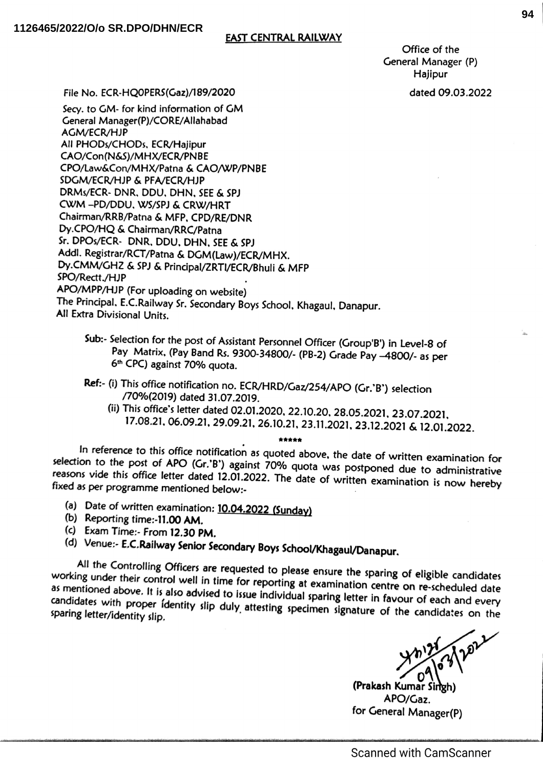#### **EAST CENTRAL RAILWAY**

Office of the General Manager (P) Hajipur

dated 09.03.2022

File No. ECR-HOOPERS(Gaz)/189/2020

Secv. to GM- for kind information of GM General Manager(P)/CORE/Allahabad **AGM/ECR/HJP** All PHODs/CHODs, ECR/Haiipur CAO/Con(N&S)/MHX/ECR/PNBE CPO/Law&Con/MHX/Patna & CAO/WP/PNBE SDGM/ECR/HJP & PFA/ECR/HJP DRMs/ECR- DNR, DDU, DHN, SEE & SPJ CWM-PD/DDU, WS/SPJ & CRW/HRT Chairman/RRB/Patna & MFP, CPD/RE/DNR Dy.CPO/HQ & Chairman/RRC/Patna Sr. DPOs/ECR- DNR, DDU, DHN, SEE & SPJ Addl. Registrar/RCT/Patna & DGM(Law)/ECR/MHX. Dy.CMM/GHZ & SPJ & Principal/ZRTI/ECR/Bhuli & MFP SPO/Rectt./HJP APO/MPP/HJP (For uploading on website) The Principal, E.C.Railway Sr. Secondary Boys School, Khagaul, Danapur. All Extra Divisional Units.

- Sub:- Selection for the post of Assistant Personnel Officer (Group'B') in Level-8 of Pay Matrix, (Pay Band Rs. 9300-34800/- (PB-2) Grade Pay -4800/- as per 6<sup>th</sup> CPC) against 70% quota.
- Ref:- (i) This office notification no. ECR/HRD/Gaz/254/APO (Gr.'B') selection /70%(2019) dated 31.07.2019.
	- (ii) This office's letter dated 02.01.2020, 22.10.20, 28.05.2021, 23.07.2021, 17.08.21, 06.09.21, 29.09.21, 26.10.21, 23.11.2021, 23.12.2021 & 12.01.2022.

In reference to this office notification as quoted above, the date of written examination for selection to the post of APO (Gr.'B') against 70% quote was postponed due to administrative<br>reasons vide this office letter dated 12.01.2022. The date of writing the date to administrative reasons vide this office letter dated 12.01.2022. The date of written examination is now hereby<br>fixed as per programme mentioned below. fixed as per programme mentioned below:-

- (a) Date of written examination:  $10.04.2022$  (Sunday)
- (b) Reporting time:-11.00 AM.
- (c) Exam Time:- From 12.30 PM.
- (d) Venue:- E.C.Railway Senior Secondary Boys School/Khagaul/Danapur.

All the Controlling Officers are requested to please ensure the sparing of eligible candidates working under their control well in time for reporting at examination centre on re-scheduled date<br>as mentioned above. It is also advised to issue individual coaring latter in the on re-scheduled date as mentioned above. It is also advised to issue individual sparing letter in favour of each and every<br>candidates with proper identity slip duly attesting specimes simulation favour of each and every candidates with proper identity slip duly attesting specimen signature of the candidates on the sparing letter/identity slip. sparing letter/identity slip.

(Prakash Kumar Singh APO/Gaz. for General Manager(P)

**Scanned with CamScanner**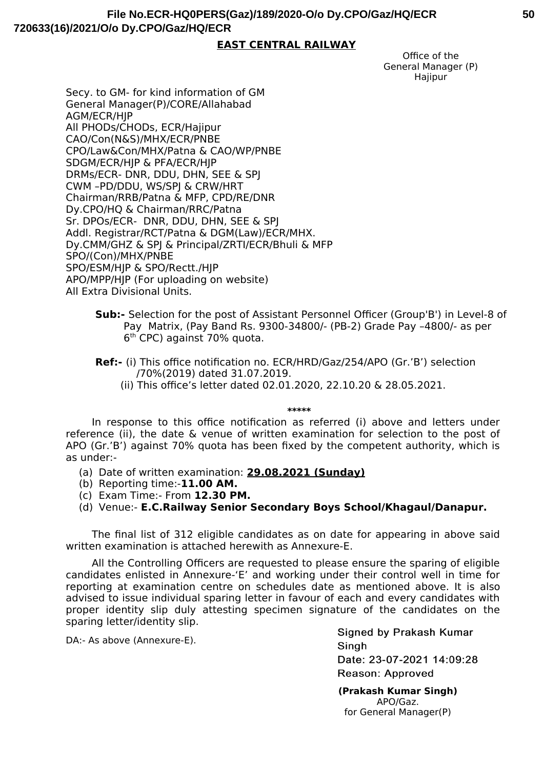#### **EAST CENTRAL RAILWAY**

Office of the General Manager (P) **Hajipur** 

Secy. to GM- for kind information of GM General Manager(P)/CORE/Allahabad AGM/ECR/HJP All PHODs/CHODs, ECR/Hajipur CAO/Con(N&S)/MHX/ECR/PNBE CPO/Law&Con/MHX/Patna & CAO/WP/PNBE SDGM/ECR/HJP & PFA/ECR/HJP DRMs/ECR- DNR, DDU, DHN, SEE & SPJ CWM –PD/DDU, WS/SPJ & CRW/HRT Chairman/RRB/Patna & MFP, CPD/RE/DNR Dy.CPO/HQ & Chairman/RRC/Patna Sr. DPOs/ECR- DNR, DDU, DHN, SEE & SPJ Addl. Registrar/RCT/Patna & DGM(Law)/ECR/MHX. Dy.CMM/GHZ & SPJ & Principal/ZRTI/ECR/Bhuli & MFP SPO/(Con)/MHX/PNBE SPO/ESM/HJP & SPO/Rectt./HJP APO/MPP/HJP (For uploading on website) All Extra Divisional Units.

- **Sub:-** Selection for the post of Assistant Personnel Officer (Group'B') in Level-8 of Pay Matrix, (Pay Band Rs. 9300-34800/- (PB-2) Grade Pay -4800/- as per  $6<sup>th</sup>$  CPC) against 70% quota.
- **Ref:-** (i) This office notification no. ECR/HRD/Gaz/254/APO (Gr.'B') selection /70%(2019) dated 31.07.2019.
	- (ii) This office's letter dated 02.01.2020, 22.10.20 & 28.05.2021.

**\*\*\*\*\***

In response to this office notification as referred (i) above and letters under reference (ii), the date & venue of written examination for selection to the post of APO (Gr.'B') against 70% quota has been fixed by the competent authority, which is as under:-

- (a) Date of written examination: **29.08.2021 (Sunday)**
- (b) Reporting time:-**11.00 AM.**
- (fic) Exam Time:- From **12.30 PM.**

(d) Venue:- **E.C.Railway Senior Secondary Boys School/Khagaul/Danapur.**

The final list of 312 eligible candidates as on date for appearing in above said written examination is attached herewith as Annexure-E.

All the Controlling Officers are requested to please ensure the sparing of eligible candidates enlisted in Annexure-'E' and working under their control well in time for reporting at examination centre on schedules date as mentioned above. It is also advised to issue individual sparing letter in favour of each and every candidates with proper identity slip duly attesting specimen signature of the candidates on the sparing letter/identity slip.

DA:- As above (Annexure-E).

Signed by Prakash Kumar Singh Date: 23-07-2021 14:09:28 Reason: Approved

**(Prakash Kumar Singh)** APO/Ga2. for General Manager(P)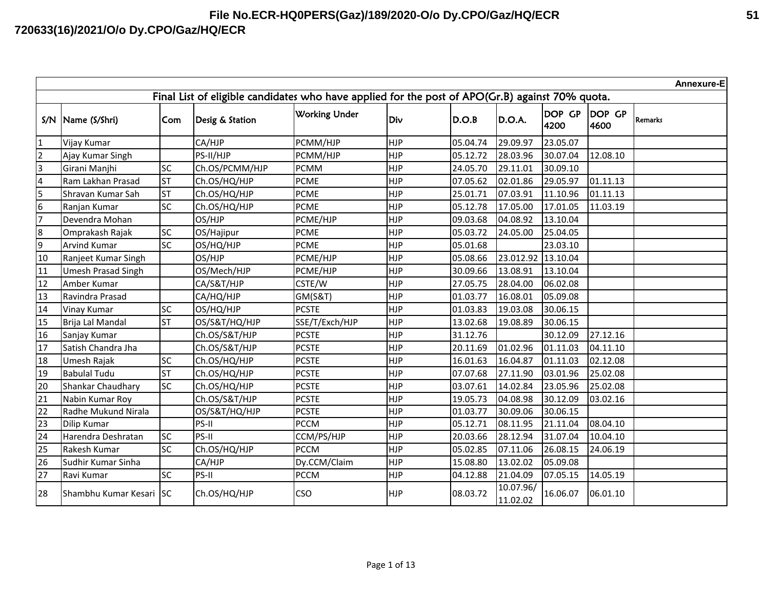|                 | Annexure-E<br>Final List of eligible candidates who have applied for the post of APO(Gr.B) against 70% quota. |           |                 |                      |            |          |                       |                |                |                |
|-----------------|---------------------------------------------------------------------------------------------------------------|-----------|-----------------|----------------------|------------|----------|-----------------------|----------------|----------------|----------------|
|                 |                                                                                                               |           |                 |                      |            |          |                       |                |                |                |
|                 | S/N   Name (S/Shri)                                                                                           | Com       | Desig & Station | <b>Working Under</b> | Div        | D.O.B    | D.O.A.                | DOP GP<br>4200 | DOP GP<br>4600 | <b>Remarks</b> |
| $\mathbf{1}$    | Vijay Kumar                                                                                                   |           | CA/HJP          | PCMM/HJP             | <b>HJP</b> | 05.04.74 | 29.09.97              | 23.05.07       |                |                |
| $\overline{2}$  | Ajay Kumar Singh                                                                                              |           | PS-II/HJP       | PCMM/HJP             | <b>HJP</b> | 05.12.72 | 28.03.96              | 30.07.04       | 12.08.10       |                |
| 3               | Girani Manjhi                                                                                                 | <b>SC</b> | Ch.OS/PCMM/HJP  | <b>PCMM</b>          | <b>HJP</b> | 24.05.70 | 29.11.01              | 30.09.10       |                |                |
| 4               | Ram Lakhan Prasad                                                                                             | <b>ST</b> | Ch.OS/HQ/HJP    | <b>PCME</b>          | <b>HJP</b> | 07.05.62 | 02.01.86              | 29.05.97       | 01.11.13       |                |
| 5               | Shravan Kumar Sah                                                                                             | <b>ST</b> | Ch.OS/HQ/HJP    | <b>PCME</b>          | <b>HJP</b> | 25.01.71 | 07.03.91              | 11.10.96       | 01.11.13       |                |
| 6               | Ranjan Kumar                                                                                                  | <b>SC</b> | Ch.OS/HQ/HJP    | <b>PCME</b>          | <b>HJP</b> | 05.12.78 | 17.05.00              | 17.01.05       | 11.03.19       |                |
| $\overline{7}$  | Devendra Mohan                                                                                                |           | OS/HJP          | PCME/HJP             | <b>HJP</b> | 09.03.68 | 04.08.92              | 13.10.04       |                |                |
| $\bf 8$         | Omprakash Rajak                                                                                               | <b>SC</b> | OS/Hajipur      | <b>PCME</b>          | <b>HJP</b> | 05.03.72 | 24.05.00              | 25.04.05       |                |                |
| 9               | <b>Arvind Kumar</b>                                                                                           | <b>SC</b> | OS/HQ/HJP       | <b>PCME</b>          | <b>HJP</b> | 05.01.68 |                       | 23.03.10       |                |                |
| $10\,$          | Ranjeet Kumar Singh                                                                                           |           | OS/HJP          | PCME/HJP             | <b>HJP</b> | 05.08.66 | 23.012.92             | 13.10.04       |                |                |
| $11\,$          | <b>Umesh Prasad Singh</b>                                                                                     |           | OS/Mech/HJP     | PCME/HJP             | <b>HJP</b> | 30.09.66 | 13.08.91              | 13.10.04       |                |                |
| 12              | Amber Kumar                                                                                                   |           | CA/S&T/HJP      | CSTE/W               | <b>HJP</b> | 27.05.75 | 28.04.00              | 06.02.08       |                |                |
| 13              | Ravindra Prasad                                                                                               |           | CA/HQ/HJP       | <b>GM(S&amp;T)</b>   | <b>HJP</b> | 01.03.77 | 16.08.01              | 05.09.08       |                |                |
| 14              | Vinay Kumar                                                                                                   | <b>SC</b> | OS/HQ/HJP       | <b>PCSTE</b>         | <b>HJP</b> | 01.03.83 | 19.03.08              | 30.06.15       |                |                |
| 15              | Brija Lal Mandal                                                                                              | <b>ST</b> | OS/S&T/HQ/HJP   | SSE/T/Exch/HJP       | <b>HJP</b> | 13.02.68 | 19.08.89              | 30.06.15       |                |                |
| 16              | Sanjay Kumar                                                                                                  |           | Ch.OS/S&T/HJP   | <b>PCSTE</b>         | <b>HJP</b> | 31.12.76 |                       | 30.12.09       | 27.12.16       |                |
| 17              | Satish Chandra Jha                                                                                            |           | Ch.OS/S&T/HJP   | <b>PCSTE</b>         | <b>HJP</b> | 20.11.69 | 01.02.96              | 01.11.03       | 04.11.10       |                |
| 18              | Umesh Rajak                                                                                                   | <b>SC</b> | Ch.OS/HQ/HJP    | <b>PCSTE</b>         | <b>HJP</b> | 16.01.63 | 16.04.87              | 01.11.03       | 02.12.08       |                |
| 19              | <b>Babulal Tudu</b>                                                                                           | <b>ST</b> | Ch.OS/HQ/HJP    | <b>PCSTE</b>         | <b>HJP</b> | 07.07.68 | 27.11.90              | 03.01.96       | 25.02.08       |                |
| 20              | Shankar Chaudhary                                                                                             | <b>SC</b> | Ch.OS/HQ/HJP    | <b>PCSTE</b>         | <b>HJP</b> | 03.07.61 | 14.02.84              | 23.05.96       | 25.02.08       |                |
| 21              | Nabin Kumar Roy                                                                                               |           | Ch.OS/S&T/HJP   | <b>PCSTE</b>         | <b>HJP</b> | 19.05.73 | 04.08.98              | 30.12.09       | 03.02.16       |                |
| $\overline{22}$ | Radhe Mukund Nirala                                                                                           |           | OS/S&T/HQ/HJP   | <b>PCSTE</b>         | <b>HJP</b> | 01.03.77 | 30.09.06              | 30.06.15       |                |                |
| 23              | Dilip Kumar                                                                                                   |           | PS-II           | <b>PCCM</b>          | <b>HJP</b> | 05.12.71 | 08.11.95              | 21.11.04       | 08.04.10       |                |
| 24              | Harendra Deshratan                                                                                            | <b>SC</b> | PS-II           | CCM/PS/HJP           | <b>HJP</b> | 20.03.66 | 28.12.94              | 31.07.04       | 10.04.10       |                |
| 25              | Rakesh Kumar                                                                                                  | <b>SC</b> | Ch.OS/HQ/HJP    | <b>PCCM</b>          | <b>HJP</b> | 05.02.85 | 07.11.06              | 26.08.15       | 24.06.19       |                |
| 26              | Sudhir Kumar Sinha                                                                                            |           | CA/HJP          | Dy.CCM/Claim         | <b>HJP</b> | 15.08.80 | 13.02.02              | 05.09.08       |                |                |
| 27              | Ravi Kumar                                                                                                    | <b>SC</b> | PS-II           | <b>PCCM</b>          | <b>HJP</b> | 04.12.88 | 21.04.09              | 07.05.15       | 14.05.19       |                |
| 28              | Shambhu Kumar Kesari SC                                                                                       |           | Ch.OS/HQ/HJP    | <b>CSO</b>           | <b>HJP</b> | 08.03.72 | 10.07.96/<br>11.02.02 | 16.06.07       | 06.01.10       |                |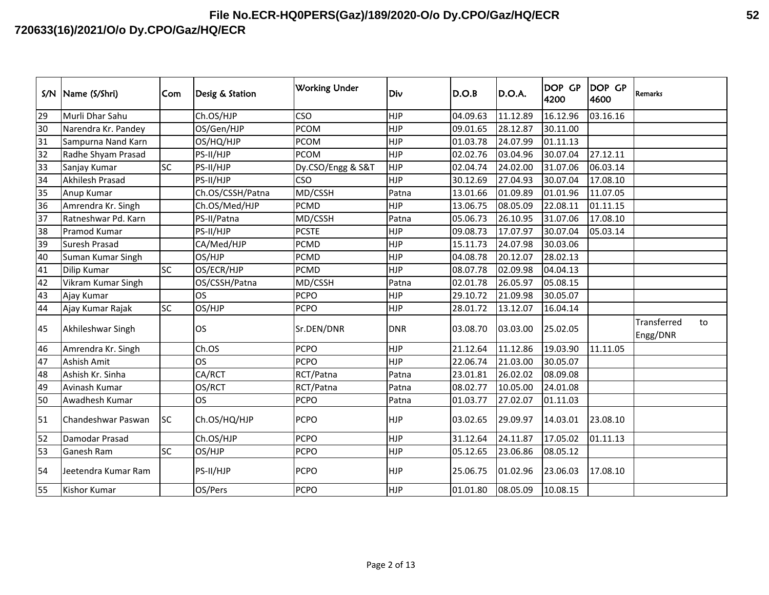| S/N | Name (S/Shri)          | Com       | Desig & Station  | <b>Working Under</b> | Div        | D.O.B    | D.O.A.   | <b>DOP GP</b><br>4200 | <b>DOP GP</b><br>4600 | <b>Remarks</b>          |    |
|-----|------------------------|-----------|------------------|----------------------|------------|----------|----------|-----------------------|-----------------------|-------------------------|----|
| 29  | Murli Dhar Sahu        |           | Ch.OS/HJP        | <b>CSO</b>           | <b>HJP</b> | 04.09.63 | 11.12.89 | 16.12.96              | 03.16.16              |                         |    |
| 30  | Narendra Kr. Pandey    |           | OS/Gen/HJP       | <b>PCOM</b>          | <b>HJP</b> | 09.01.65 | 28.12.87 | 30.11.00              |                       |                         |    |
| 31  | Sampurna Nand Karn     |           | OS/HQ/HJP        | <b>PCOM</b>          | <b>HJP</b> | 01.03.78 | 24.07.99 | 01.11.13              |                       |                         |    |
| 32  | Radhe Shyam Prasad     |           | PS-II/HJP        | <b>PCOM</b>          | <b>HJP</b> | 02.02.76 | 03.04.96 | 30.07.04              | 27.12.11              |                         |    |
| 33  | Sanjay Kumar           | <b>SC</b> | PS-II/HJP        | Dy.CSO/Engg & S&T    | <b>HJP</b> | 02.04.74 | 24.02.00 | 31.07.06              | 06.03.14              |                         |    |
| 34  | <b>Akhilesh Prasad</b> |           | PS-II/HJP        | <b>CSO</b>           | <b>HJP</b> | 30.12.69 | 27.04.93 | 30.07.04              | 17.08.10              |                         |    |
| 35  | Anup Kumar             |           | Ch.OS/CSSH/Patna | MD/CSSH              | Patna      | 13.01.66 | 01.09.89 | 01.01.96              | 11.07.05              |                         |    |
| 36  | Amrendra Kr. Singh     |           | Ch.OS/Med/HJP    | <b>PCMD</b>          | HJP        | 13.06.75 | 08.05.09 | 22.08.11              | 01.11.15              |                         |    |
| 37  | Ratneshwar Pd. Karn    |           | PS-II/Patna      | MD/CSSH              | Patna      | 05.06.73 | 26.10.95 | 31.07.06              | 17.08.10              |                         |    |
| 38  | Pramod Kumar           |           | PS-II/HJP        | <b>PCSTE</b>         | <b>HJP</b> | 09.08.73 | 17.07.97 | 30.07.04              | 05.03.14              |                         |    |
| 39  | <b>Suresh Prasad</b>   |           | CA/Med/HJP       | <b>PCMD</b>          | <b>HJP</b> | 15.11.73 | 24.07.98 | 30.03.06              |                       |                         |    |
| 40  | Suman Kumar Singh      |           | OS/HJP           | <b>PCMD</b>          | <b>HJP</b> | 04.08.78 | 20.12.07 | 28.02.13              |                       |                         |    |
| 41  | Dilip Kumar            | <b>SC</b> | OS/ECR/HJP       | <b>PCMD</b>          | <b>HJP</b> | 08.07.78 | 02.09.98 | 04.04.13              |                       |                         |    |
| 42  | Vikram Kumar Singh     |           | OS/CSSH/Patna    | MD/CSSH              | Patna      | 02.01.78 | 26.05.97 | 05.08.15              |                       |                         |    |
| 43  | Ajay Kumar             |           | <b>OS</b>        | <b>PCPO</b>          | <b>HJP</b> | 29.10.72 | 21.09.98 | 30.05.07              |                       |                         |    |
| 44  | Ajay Kumar Rajak       | <b>SC</b> | OS/HJP           | <b>PCPO</b>          | HJP        | 28.01.72 | 13.12.07 | 16.04.14              |                       |                         |    |
| 45  | Akhileshwar Singh      |           | <b>OS</b>        | Sr.DEN/DNR           | <b>DNR</b> | 03.08.70 | 03.03.00 | 25.02.05              |                       | Transferred<br>Engg/DNR | to |
| 46  | Amrendra Kr. Singh     |           | Ch.OS            | <b>PCPO</b>          | <b>HJP</b> | 21.12.64 | 11.12.86 | 19.03.90              | 11.11.05              |                         |    |
| 47  | Ashish Amit            |           | <b>OS</b>        | <b>PCPO</b>          | <b>HJP</b> | 22.06.74 | 21.03.00 | 30.05.07              |                       |                         |    |
| 48  | Ashish Kr. Sinha       |           | CA/RCT           | RCT/Patna            | Patna      | 23.01.81 | 26.02.02 | 08.09.08              |                       |                         |    |
| 49  | Avinash Kumar          |           | OS/RCT           | RCT/Patna            | Patna      | 08.02.77 | 10.05.00 | 24.01.08              |                       |                         |    |
| 50  | Awadhesh Kumar         |           | <b>OS</b>        | <b>PCPO</b>          | Patna      | 01.03.77 | 27.02.07 | 01.11.03              |                       |                         |    |
| 51  | Chandeshwar Paswan     | <b>SC</b> | Ch.OS/HQ/HJP     | <b>PCPO</b>          | <b>HJP</b> | 03.02.65 | 29.09.97 | 14.03.01              | 23.08.10              |                         |    |
| 52  | Damodar Prasad         |           | Ch.OS/HJP        | <b>PCPO</b>          | <b>HJP</b> | 31.12.64 | 24.11.87 | 17.05.02              | 01.11.13              |                         |    |
| 53  | <b>Ganesh Ram</b>      | <b>SC</b> | OS/HJP           | <b>PCPO</b>          | <b>HJP</b> | 05.12.65 | 23.06.86 | 08.05.12              |                       |                         |    |
| 54  | Jeetendra Kumar Ram    |           | PS-II/HJP        | <b>PCPO</b>          | <b>HJP</b> | 25.06.75 | 01.02.96 | 23.06.03              | 17.08.10              |                         |    |
| 55  | <b>Kishor Kumar</b>    |           | OS/Pers          | <b>PCPO</b>          | <b>HJP</b> | 01.01.80 | 08.05.09 | 10.08.15              |                       |                         |    |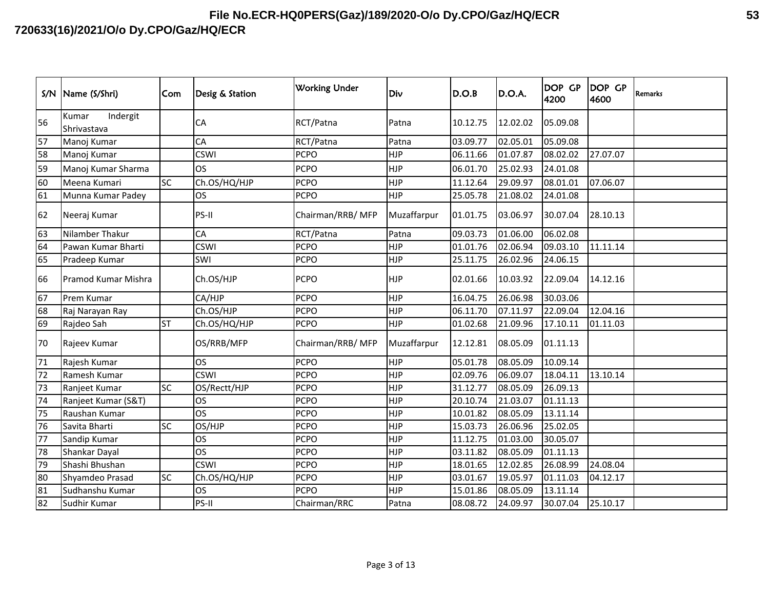| S/N | Name (S/Shri)                    | Com       | Desig & Station | <b>Working Under</b> | Div         | D.O.B    | D.O.A.   | <b>DOP GP</b><br>4200 | <b>DOP GP</b><br>4600 | Remarks |
|-----|----------------------------------|-----------|-----------------|----------------------|-------------|----------|----------|-----------------------|-----------------------|---------|
| 56  | Indergit<br>Kumar<br>Shrivastava |           | CA              | RCT/Patna            | Patna       | 10.12.75 | 12.02.02 | 05.09.08              |                       |         |
| 57  | Manoj Kumar                      |           | CA              | RCT/Patna            | Patna       | 03.09.77 | 02.05.01 | 05.09.08              |                       |         |
| 58  | Manoj Kumar                      |           | <b>CSWI</b>     | PCPO                 | <b>HJP</b>  | 06.11.66 | 01.07.87 | 08.02.02              | 27.07.07              |         |
| 59  | Manoj Kumar Sharma               |           | <b>OS</b>       | <b>PCPO</b>          | <b>HJP</b>  | 06.01.70 | 25.02.93 | 24.01.08              |                       |         |
| 60  | Meena Kumari                     | <b>SC</b> | Ch.OS/HQ/HJP    | <b>PCPO</b>          | <b>HJP</b>  | 11.12.64 | 29.09.97 | 08.01.01              | 07.06.07              |         |
| 61  | Munna Kumar Padey                |           | <b>OS</b>       | <b>PCPO</b>          | <b>HJP</b>  | 25.05.78 | 21.08.02 | 24.01.08              |                       |         |
| 62  | Neeraj Kumar                     |           | PS-II           | Chairman/RRB/ MFP    | Muzaffarpur | 01.01.75 | 03.06.97 | 30.07.04              | 28.10.13              |         |
| 63  | Nilamber Thakur                  |           | CA              | RCT/Patna            | Patna       | 09.03.73 | 01.06.00 | 06.02.08              |                       |         |
| 64  | Pawan Kumar Bharti               |           | <b>CSWI</b>     | <b>PCPO</b>          | <b>HJP</b>  | 01.01.76 | 02.06.94 | 09.03.10              | 11.11.14              |         |
| 65  | Pradeep Kumar                    |           | SWI             | <b>PCPO</b>          | <b>HJP</b>  | 25.11.75 | 26.02.96 | 24.06.15              |                       |         |
| 66  | Pramod Kumar Mishra              |           | Ch.OS/HJP       | <b>PCPO</b>          | <b>HJP</b>  | 02.01.66 | 10.03.92 | 22.09.04              | 14.12.16              |         |
| 67  | Prem Kumar                       |           | CA/HJP          | <b>PCPO</b>          | <b>HJP</b>  | 16.04.75 | 26.06.98 | 30.03.06              |                       |         |
| 68  | Raj Narayan Ray                  |           | Ch.OS/HJP       | <b>PCPO</b>          | <b>HJP</b>  | 06.11.70 | 07.11.97 | 22.09.04              | 12.04.16              |         |
| 69  | Rajdeo Sah                       | <b>ST</b> | Ch.OS/HQ/HJP    | <b>PCPO</b>          | <b>HJP</b>  | 01.02.68 | 21.09.96 | 17.10.11              | 01.11.03              |         |
| 70  | Rajeev Kumar                     |           | OS/RRB/MFP      | Chairman/RRB/ MFP    | Muzaffarpur | 12.12.81 | 08.05.09 | 01.11.13              |                       |         |
| 71  | Rajesh Kumar                     |           | <b>OS</b>       | <b>PCPO</b>          | <b>HJP</b>  | 05.01.78 | 08.05.09 | 10.09.14              |                       |         |
| 72  | Ramesh Kumar                     |           | <b>CSWI</b>     | <b>PCPO</b>          | <b>HJP</b>  | 02.09.76 | 06.09.07 | 18.04.11              | 13.10.14              |         |
| 73  | Ranjeet Kumar                    | SC        | OS/Rectt/HJP    | <b>PCPO</b>          | <b>HJP</b>  | 31.12.77 | 08.05.09 | 26.09.13              |                       |         |
| 74  | Ranjeet Kumar (S&T)              |           | <b>OS</b>       | <b>PCPO</b>          | <b>HJP</b>  | 20.10.74 | 21.03.07 | 01.11.13              |                       |         |
| 75  | Raushan Kumar                    |           | <b>OS</b>       | <b>PCPO</b>          | <b>HJP</b>  | 10.01.82 | 08.05.09 | 13.11.14              |                       |         |
| 76  | Savita Bharti                    | SC        | OS/HJP          | <b>PCPO</b>          | <b>HJP</b>  | 15.03.73 | 26.06.96 | 25.02.05              |                       |         |
| 77  | Sandip Kumar                     |           | <b>OS</b>       | <b>PCPO</b>          | <b>HJP</b>  | 11.12.75 | 01.03.00 | 30.05.07              |                       |         |
| 78  | Shankar Dayal                    |           | <b>OS</b>       | <b>PCPO</b>          | <b>HJP</b>  | 03.11.82 | 08.05.09 | 01.11.13              |                       |         |
| 79  | Shashi Bhushan                   |           | <b>CSWI</b>     | <b>PCPO</b>          | <b>HJP</b>  | 18.01.65 | 12.02.85 | 26.08.99              | 24.08.04              |         |
| 80  | Shyamdeo Prasad                  | <b>SC</b> | Ch.OS/HQ/HJP    | <b>PCPO</b>          | <b>HJP</b>  | 03.01.67 | 19.05.97 | 01.11.03              | 04.12.17              |         |
| 81  | Sudhanshu Kumar                  |           | <b>OS</b>       | <b>PCPO</b>          | <b>HJP</b>  | 15.01.86 | 08.05.09 | 13.11.14              |                       |         |
| 82  | Sudhir Kumar                     |           | PS-II           | Chairman/RRC         | Patna       | 08.08.72 | 24.09.97 | 30.07.04              | 25.10.17              |         |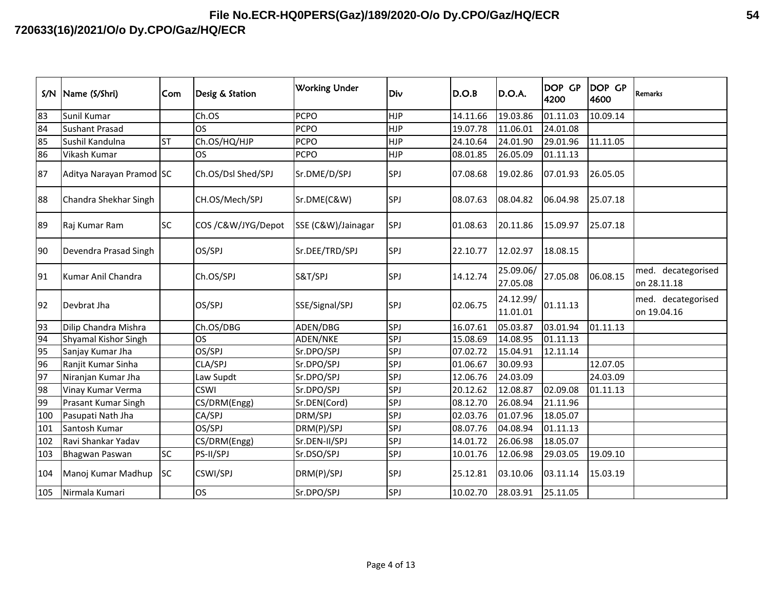| S/N | Name (S/Shri)            | Com       | Desig & Station    | <b>Working Under</b> | Div        | D.O.B    | D.O.A.                | <b>DOP GP</b><br>4200 | <b>DOP GP</b><br>4600 | <b>Remarks</b>                    |
|-----|--------------------------|-----------|--------------------|----------------------|------------|----------|-----------------------|-----------------------|-----------------------|-----------------------------------|
| 83  | Sunil Kumar              |           | Ch.OS              | <b>PCPO</b>          | <b>HJP</b> | 14.11.66 | 19.03.86              | 01.11.03              | 10.09.14              |                                   |
| 84  | <b>Sushant Prasad</b>    |           | <b>OS</b>          | <b>PCPO</b>          | <b>HJP</b> | 19.07.78 | 11.06.01              | 24.01.08              |                       |                                   |
| 85  | Sushil Kandulna          | <b>ST</b> | Ch.OS/HQ/HJP       | <b>PCPO</b>          | <b>HJP</b> | 24.10.64 | 24.01.90              | 29.01.96              | 11.11.05              |                                   |
| 86  | Vikash Kumar             |           | <b>OS</b>          | <b>PCPO</b>          | <b>HJP</b> | 08.01.85 | 26.05.09              | 01.11.13              |                       |                                   |
| 87  | Aditya Narayan Pramod SC |           | Ch.OS/Dsl Shed/SPJ | Sr.DME/D/SPJ         | <b>SPJ</b> | 07.08.68 | 19.02.86              | 07.01.93              | 26.05.05              |                                   |
| 88  | Chandra Shekhar Singh    |           | CH.OS/Mech/SPJ     | Sr.DME(C&W)          | <b>SPJ</b> | 08.07.63 | 08.04.82              | 06.04.98              | 25.07.18              |                                   |
| 89  | Raj Kumar Ram            | <b>SC</b> | COS /C&W/JYG/Depot | SSE (C&W)/Jainagar   | SPJ        | 01.08.63 | 20.11.86              | 15.09.97              | 25.07.18              |                                   |
| 90  | Devendra Prasad Singh    |           | OS/SPJ             | Sr.DEE/TRD/SPJ       | <b>SPJ</b> | 22.10.77 | 12.02.97              | 18.08.15              |                       |                                   |
| 91  | Kumar Anil Chandra       |           | Ch.OS/SPJ          | S&T/SPJ              | SPJ        | 14.12.74 | 25.09.06/<br>27.05.08 | 27.05.08              | 06.08.15              | med. decategorised<br>on 28.11.18 |
| 92  | Devbrat Jha              |           | OS/SPJ             | SSE/Signal/SPJ       | <b>SPJ</b> | 02.06.75 | 24.12.99/<br>11.01.01 | 01.11.13              |                       | med. decategorised<br>on 19.04.16 |
| 93  | Dilip Chandra Mishra     |           | Ch.OS/DBG          | ADEN/DBG             | SPJ        | 16.07.61 | 05.03.87              | 03.01.94              | 01.11.13              |                                   |
| 94  | Shyamal Kishor Singh     |           | <b>OS</b>          | ADEN/NKE             | <b>SPJ</b> | 15.08.69 | 14.08.95              | 01.11.13              |                       |                                   |
| 95  | Sanjay Kumar Jha         |           | OS/SPJ             | Sr.DPO/SPJ           | SPJ        | 07.02.72 | 15.04.91              | 12.11.14              |                       |                                   |
| 96  | Ranjit Kumar Sinha       |           | CLA/SPJ            | Sr.DPO/SPJ           | SPJ        | 01.06.67 | 30.09.93              |                       | 12.07.05              |                                   |
| 97  | Niranjan Kumar Jha       |           | Law Supdt          | Sr.DPO/SPJ           | SPJ        | 12.06.76 | 24.03.09              |                       | 24.03.09              |                                   |
| 98  | Vinay Kumar Verma        |           | <b>CSWI</b>        | Sr.DPO/SPJ           | SPJ        | 20.12.62 | 12.08.87              | 02.09.08              | 01.11.13              |                                   |
| 99  | Prasant Kumar Singh      |           | CS/DRM(Engg)       | Sr.DEN(Cord)         | SPJ        | 08.12.70 | 26.08.94              | 21.11.96              |                       |                                   |
| 100 | Pasupati Nath Jha        |           | CA/SPJ             | DRM/SPJ              | SPJ        | 02.03.76 | 01.07.96              | 18.05.07              |                       |                                   |
| 101 | Santosh Kumar            |           | OS/SPJ             | DRM(P)/SPJ           | SPJ        | 08.07.76 | 04.08.94              | 01.11.13              |                       |                                   |
| 102 | Ravi Shankar Yadav       |           | CS/DRM(Engg)       | Sr.DEN-II/SPJ        | SPJ        | 14.01.72 | 26.06.98              | 18.05.07              |                       |                                   |
| 103 | <b>Bhagwan Paswan</b>    | <b>SC</b> | PS-II/SPJ          | Sr.DSO/SPJ           | SPJ        | 10.01.76 | 12.06.98              | 29.03.05              | 19.09.10              |                                   |
| 104 | Manoj Kumar Madhup       | <b>SC</b> | <b>CSWI/SPJ</b>    | DRM(P)/SPJ           | SPJ        | 25.12.81 | 03.10.06              | 03.11.14              | 15.03.19              |                                   |
| 105 | Nirmala Kumari           |           | <b>OS</b>          | Sr.DPO/SPJ           | SPJ        | 10.02.70 | 28.03.91              | 25.11.05              |                       |                                   |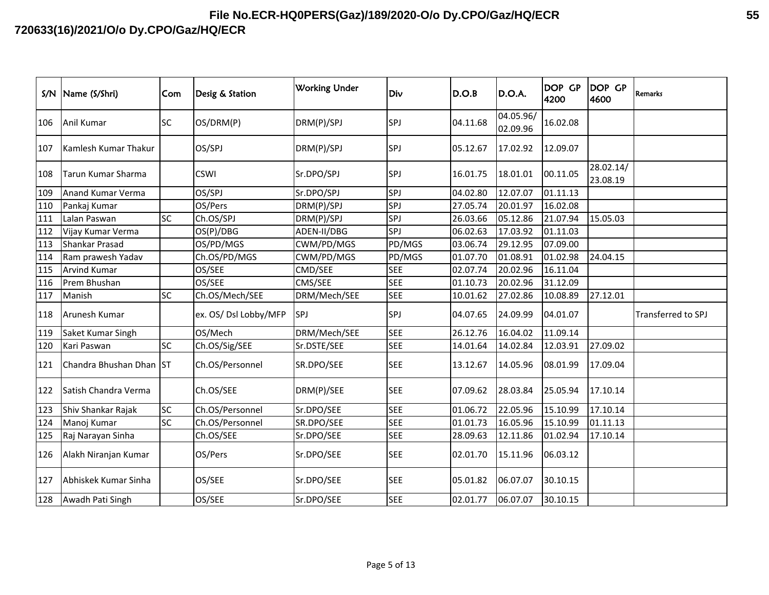| S/N | Name (S/Shri)           | Com       | Desig & Station       | <b>Working Under</b> | Div        | D.O.B    | D.O.A.                | <b>DOP GP</b><br>4200 | DOP GP<br>4600        | <b>Remarks</b>     |
|-----|-------------------------|-----------|-----------------------|----------------------|------------|----------|-----------------------|-----------------------|-----------------------|--------------------|
| 106 | Anil Kumar              | <b>SC</b> | OS/DRM(P)             | DRM(P)/SPJ           | SPJ        | 04.11.68 | 04.05.96/<br>02.09.96 | 16.02.08              |                       |                    |
| 107 | Kamlesh Kumar Thakur    |           | OS/SPJ                | DRM(P)/SPJ           | <b>SPJ</b> | 05.12.67 | 17.02.92              | 12.09.07              |                       |                    |
| 108 | Tarun Kumar Sharma      |           | <b>CSWI</b>           | Sr.DPO/SPJ           | SPJ        | 16.01.75 | 18.01.01              | 00.11.05              | 28.02.14/<br>23.08.19 |                    |
| 109 | Anand Kumar Verma       |           | OS/SPJ                | Sr.DPO/SPJ           | SPJ        | 04.02.80 | 12.07.07              | 01.11.13              |                       |                    |
| 110 | Pankaj Kumar            |           | OS/Pers               | DRM(P)/SPJ           | SPJ        | 27.05.74 | 20.01.97              | 16.02.08              |                       |                    |
| 111 | Lalan Paswan            | <b>SC</b> | Ch.OS/SPJ             | DRM(P)/SPJ           | SPJ        | 26.03.66 | 05.12.86              | 21.07.94              | 15.05.03              |                    |
| 112 | Vijay Kumar Verma       |           | OS(P)/DBG             | ADEN-II/DBG          | SPJ        | 06.02.63 | 17.03.92              | 01.11.03              |                       |                    |
| 113 | Shankar Prasad          |           | OS/PD/MGS             | CWM/PD/MGS           | PD/MGS     | 03.06.74 | 29.12.95              | 07.09.00              |                       |                    |
| 114 | Ram prawesh Yadav       |           | Ch.OS/PD/MGS          | CWM/PD/MGS           | PD/MGS     | 01.07.70 | 01.08.91              | 01.02.98              | 24.04.15              |                    |
| 115 | <b>Arvind Kumar</b>     |           | OS/SEE                | CMD/SEE              | <b>SEE</b> | 02.07.74 | 20.02.96              | 16.11.04              |                       |                    |
| 116 | Prem Bhushan            |           | OS/SEE                | CMS/SEE              | <b>SEE</b> | 01.10.73 | 20.02.96              | 31.12.09              |                       |                    |
| 117 | Manish                  | <b>SC</b> | Ch.OS/Mech/SEE        | DRM/Mech/SEE         | <b>SEE</b> | 10.01.62 | 27.02.86              | 10.08.89              | 27.12.01              |                    |
| 118 | Arunesh Kumar           |           | ex. OS/ Dsl Lobby/MFP | SPJ                  | SPJ        | 04.07.65 | 24.09.99              | 04.01.07              |                       | Transferred to SPJ |
| 119 | Saket Kumar Singh       |           | OS/Mech               | DRM/Mech/SEE         | <b>SEE</b> | 26.12.76 | 16.04.02              | 11.09.14              |                       |                    |
| 120 | Kari Paswan             | SC        | Ch.OS/Sig/SEE         | Sr.DSTE/SEE          | <b>SEE</b> | 14.01.64 | 14.02.84              | 12.03.91              | 27.09.02              |                    |
| 121 | Chandra Bhushan Dhan ST |           | Ch.OS/Personnel       | SR.DPO/SEE           | <b>SEE</b> | 13.12.67 | 14.05.96              | 08.01.99              | 17.09.04              |                    |
| 122 | Satish Chandra Verma    |           | Ch.OS/SEE             | DRM(P)/SEE           | <b>SEE</b> | 07.09.62 | 28.03.84              | 25.05.94              | 17.10.14              |                    |
| 123 | Shiv Shankar Rajak      | <b>SC</b> | Ch.OS/Personnel       | Sr.DPO/SEE           | <b>SEE</b> | 01.06.72 | 22.05.96              | 15.10.99              | 17.10.14              |                    |
| 124 | Manoj Kumar             | <b>SC</b> | Ch.OS/Personnel       | SR.DPO/SEE           | <b>SEE</b> | 01.01.73 | 16.05.96              | 15.10.99              | 01.11.13              |                    |
| 125 | Raj Narayan Sinha       |           | Ch.OS/SEE             | Sr.DPO/SEE           | <b>SEE</b> | 28.09.63 | 12.11.86              | 01.02.94              | 17.10.14              |                    |
| 126 | Alakh Niranjan Kumar    |           | OS/Pers               | Sr.DPO/SEE           | <b>SEE</b> | 02.01.70 | 15.11.96              | 06.03.12              |                       |                    |
| 127 | Abhiskek Kumar Sinha    |           | OS/SEE                | Sr.DPO/SEE           | <b>SEE</b> | 05.01.82 | 06.07.07              | 30.10.15              |                       |                    |
| 128 | Awadh Pati Singh        |           | OS/SEE                | Sr.DPO/SEE           | <b>SEE</b> | 02.01.77 | 06.07.07              | 30.10.15              |                       |                    |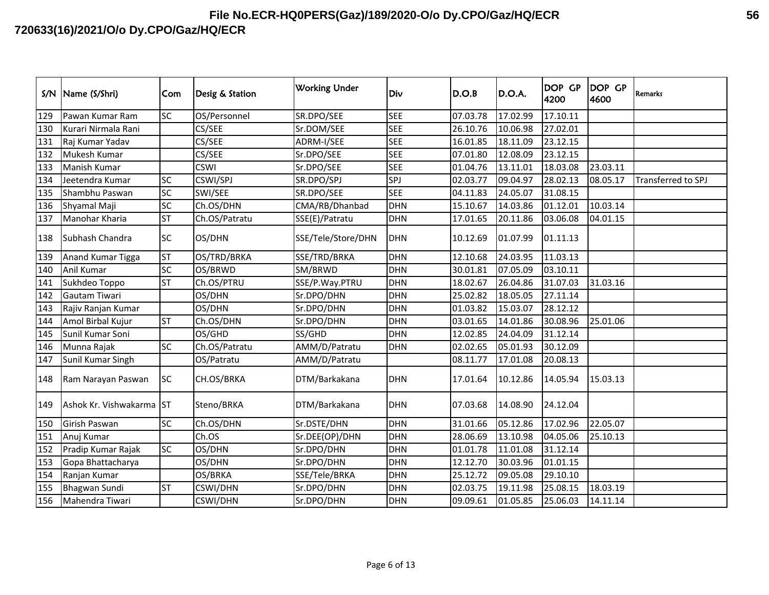| S/N | Name (S/Shri)            | Com       | Desig & Station | <b>Working Under</b> | Div        | D.O.B    | D.O.A.   | DOP GP<br>4200 | DOP GP<br>4600 | <b>Remarks</b>     |
|-----|--------------------------|-----------|-----------------|----------------------|------------|----------|----------|----------------|----------------|--------------------|
| 129 | Pawan Kumar Ram          | <b>SC</b> | OS/Personnel    | SR.DPO/SEE           | <b>SEE</b> | 07.03.78 | 17.02.99 | 17.10.11       |                |                    |
| 130 | Kurari Nirmala Rani      |           | CS/SEE          | Sr.DOM/SEE           | <b>SEE</b> | 26.10.76 | 10.06.98 | 27.02.01       |                |                    |
| 131 | Raj Kumar Yadav          |           | CS/SEE          | ADRM-I/SEE           | <b>SEE</b> | 16.01.85 | 18.11.09 | 23.12.15       |                |                    |
| 132 | Mukesh Kumar             |           | CS/SEE          | Sr.DPO/SEE           | <b>SEE</b> | 07.01.80 | 12.08.09 | 23.12.15       |                |                    |
| 133 | Manish Kumar             |           | <b>CSWI</b>     | Sr.DPO/SEE           | <b>SEE</b> | 01.04.76 | 13.11.01 | 18.03.08       | 23.03.11       |                    |
| 134 | Jeetendra Kumar          | <b>SC</b> | CSWI/SPJ        | SR.DPO/SPJ           | SPJ        | 02.03.77 | 09.04.97 | 28.02.13       | 08.05.17       | Transferred to SPJ |
| 135 | Shambhu Paswan           | <b>SC</b> | SWI/SEE         | SR.DPO/SEE           | <b>SEE</b> | 04.11.83 | 24.05.07 | 31.08.15       |                |                    |
| 136 | Shyamal Maji             | SC        | Ch.OS/DHN       | CMA/RB/Dhanbad       | <b>DHN</b> | 15.10.67 | 14.03.86 | 01.12.01       | 10.03.14       |                    |
| 137 | Manohar Kharia           | <b>ST</b> | Ch.OS/Patratu   | SSE(E)/Patratu       | <b>DHN</b> | 17.01.65 | 20.11.86 | 03.06.08       | 04.01.15       |                    |
| 138 | Subhash Chandra          | <b>SC</b> | OS/DHN          | SSE/Tele/Store/DHN   | <b>DHN</b> | 10.12.69 | 01.07.99 | 01.11.13       |                |                    |
| 139 | Anand Kumar Tigga        | <b>ST</b> | OS/TRD/BRKA     | SSE/TRD/BRKA         | <b>DHN</b> | 12.10.68 | 24.03.95 | 11.03.13       |                |                    |
| 140 | Anil Kumar               | <b>SC</b> | OS/BRWD         | SM/BRWD              | <b>DHN</b> | 30.01.81 | 07.05.09 | 03.10.11       |                |                    |
| 141 | Sukhdeo Toppo            | ST        | Ch.OS/PTRU      | SSE/P.Way.PTRU       | <b>DHN</b> | 18.02.67 | 26.04.86 | 31.07.03       | 31.03.16       |                    |
| 142 | Gautam Tiwari            |           | OS/DHN          | Sr.DPO/DHN           | <b>DHN</b> | 25.02.82 | 18.05.05 | 27.11.14       |                |                    |
| 143 | Rajiv Ranjan Kumar       |           | OS/DHN          | Sr.DPO/DHN           | <b>DHN</b> | 01.03.82 | 15.03.07 | 28.12.12       |                |                    |
| 144 | Amol Birbal Kujur        | <b>ST</b> | Ch.OS/DHN       | Sr.DPO/DHN           | <b>DHN</b> | 03.01.65 | 14.01.86 | 30.08.96       | 25.01.06       |                    |
| 145 | Sunil Kumar Soni         |           | OS/GHD          | SS/GHD               | <b>DHN</b> | 12.02.85 | 24.04.09 | 31.12.14       |                |                    |
| 146 | Munna Rajak              | <b>SC</b> | Ch.OS/Patratu   | AMM/D/Patratu        | <b>DHN</b> | 02.02.65 | 05.01.93 | 30.12.09       |                |                    |
| 147 | Sunil Kumar Singh        |           | OS/Patratu      | AMM/D/Patratu        |            | 08.11.77 | 17.01.08 | 20.08.13       |                |                    |
| 148 | Ram Narayan Paswan       | <b>SC</b> | CH.OS/BRKA      | DTM/Barkakana        | <b>DHN</b> | 17.01.64 | 10.12.86 | 14.05.94       | 15.03.13       |                    |
| 149 | Ashok Kr. Vishwakarma ST |           | Steno/BRKA      | DTM/Barkakana        | <b>DHN</b> | 07.03.68 | 14.08.90 | 24.12.04       |                |                    |
| 150 | Girish Paswan            | SC        | Ch.OS/DHN       | Sr.DSTE/DHN          | <b>DHN</b> | 31.01.66 | 05.12.86 | 17.02.96       | 22.05.07       |                    |
| 151 | Anuj Kumar               |           | Ch.OS           | Sr.DEE(OP)/DHN       | <b>DHN</b> | 28.06.69 | 13.10.98 | 04.05.06       | 25.10.13       |                    |
| 152 | Pradip Kumar Rajak       | <b>SC</b> | OS/DHN          | Sr.DPO/DHN           | <b>DHN</b> | 01.01.78 | 11.01.08 | 31.12.14       |                |                    |
| 153 | Gopa Bhattacharya        |           | OS/DHN          | Sr.DPO/DHN           | <b>DHN</b> | 12.12.70 | 30.03.96 | 01.01.15       |                |                    |
| 154 | Ranjan Kumar             |           | OS/BRKA         | SSE/Tele/BRKA        | <b>DHN</b> | 25.12.72 | 09.05.08 | 29.10.10       |                |                    |
| 155 | <b>Bhagwan Sundi</b>     | <b>ST</b> | <b>CSWI/DHN</b> | Sr.DPO/DHN           | <b>DHN</b> | 02.03.75 | 19.11.98 | 25.08.15       | 18.03.19       |                    |
| 156 | Mahendra Tiwari          |           | <b>CSWI/DHN</b> | Sr.DPO/DHN           | <b>DHN</b> | 09.09.61 | 01.05.85 | 25.06.03       | 14.11.14       |                    |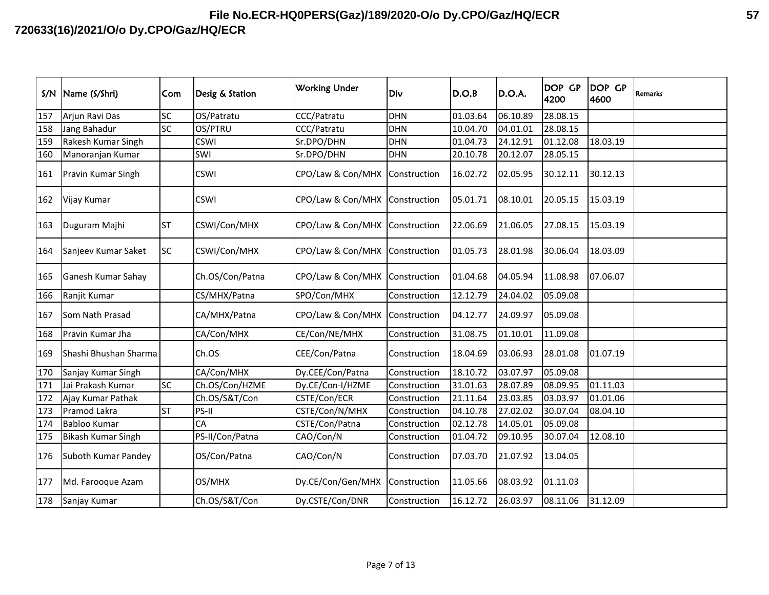| S/N | Name (S/Shri)             | Com       | Desig & Station | <b>Working Under</b>           | Div          | D.O.B    | D.O.A.   | DOP GP<br>4200 | <b>DOP GP</b><br>4600 | Remarks |
|-----|---------------------------|-----------|-----------------|--------------------------------|--------------|----------|----------|----------------|-----------------------|---------|
| 157 | Arjun Ravi Das            | SC        | OS/Patratu      | <b>CCC/Patratu</b>             | DHN          | 01.03.64 | 06.10.89 | 28.08.15       |                       |         |
| 158 | Jang Bahadur              | SC        | OS/PTRU         | CCC/Patratu                    | <b>DHN</b>   | 10.04.70 | 04.01.01 | 28.08.15       |                       |         |
| 159 | Rakesh Kumar Singh        |           | <b>CSWI</b>     | Sr.DPO/DHN                     | DHN          | 01.04.73 | 24.12.91 | 01.12.08       | 18.03.19              |         |
| 160 | Manoranjan Kumar          |           | SWI             | Sr.DPO/DHN                     | <b>DHN</b>   | 20.10.78 | 20.12.07 | 28.05.15       |                       |         |
| 161 | Pravin Kumar Singh        |           | <b>CSWI</b>     | CPO/Law & Con/MHX Construction |              | 16.02.72 | 02.05.95 | 30.12.11       | 30.12.13              |         |
| 162 | Vijay Kumar               |           | <b>CSWI</b>     | CPO/Law & Con/MHX Construction |              | 05.01.71 | 08.10.01 | 20.05.15       | 15.03.19              |         |
| 163 | Duguram Majhi             | <b>ST</b> | CSWI/Con/MHX    | CPO/Law & Con/MHX Construction |              | 22.06.69 | 21.06.05 | 27.08.15       | 15.03.19              |         |
| 164 | Sanjeev Kumar Saket       | <b>SC</b> | CSWI/Con/MHX    | CPO/Law & Con/MHX Construction |              | 01.05.73 | 28.01.98 | 30.06.04       | 18.03.09              |         |
| 165 | Ganesh Kumar Sahay        |           | Ch.OS/Con/Patna | CPO/Law & Con/MHX Construction |              | 01.04.68 | 04.05.94 | 11.08.98       | 07.06.07              |         |
| 166 | Ranjit Kumar              |           | CS/MHX/Patna    | SPO/Con/MHX                    | Construction | 12.12.79 | 24.04.02 | 05.09.08       |                       |         |
| 167 | Som Nath Prasad           |           | CA/MHX/Patna    | CPO/Law & Con/MHX Construction |              | 04.12.77 | 24.09.97 | 05.09.08       |                       |         |
| 168 | Pravin Kumar Jha          |           | CA/Con/MHX      | CE/Con/NE/MHX                  | Construction | 31.08.75 | 01.10.01 | 11.09.08       |                       |         |
| 169 | Shashi Bhushan Sharma     |           | Ch.OS           | CEE/Con/Patna                  | Construction | 18.04.69 | 03.06.93 | 28.01.08       | 01.07.19              |         |
| 170 | Sanjay Kumar Singh        |           | CA/Con/MHX      | Dy.CEE/Con/Patna               | Construction | 18.10.72 | 03.07.97 | 05.09.08       |                       |         |
| 171 | Jai Prakash Kumar         | SC        | Ch.OS/Con/HZME  | Dy.CE/Con-I/HZME               | Construction | 31.01.63 | 28.07.89 | 08.09.95       | 01.11.03              |         |
| 172 | Ajay Kumar Pathak         |           | Ch.OS/S&T/Con   | CSTE/Con/ECR                   | Construction | 21.11.64 | 23.03.85 | 03.03.97       | 01.01.06              |         |
| 173 | Pramod Lakra              | <b>ST</b> | PS-II           | CSTE/Con/N/MHX                 | Construction | 04.10.78 | 27.02.02 | 30.07.04       | 08.04.10              |         |
| 174 | <b>Babloo Kumar</b>       |           | CA              | CSTE/Con/Patna                 | Construction | 02.12.78 | 14.05.01 | 05.09.08       |                       |         |
| 175 | <b>Bikash Kumar Singh</b> |           | PS-II/Con/Patna | CAO/Con/N                      | Construction | 01.04.72 | 09.10.95 | 30.07.04       | 12.08.10              |         |
| 176 | Suboth Kumar Pandey       |           | OS/Con/Patna    | CAO/Con/N                      | Construction | 07.03.70 | 21.07.92 | 13.04.05       |                       |         |
| 177 | Md. Farooque Azam         |           | OS/MHX          | Dy.CE/Con/Gen/MHX              | Construction | 11.05.66 | 08.03.92 | 01.11.03       |                       |         |
| 178 | Sanjay Kumar              |           | Ch.OS/S&T/Con   | Dy.CSTE/Con/DNR                | Construction | 16.12.72 | 26.03.97 | 08.11.06       | 31.12.09              |         |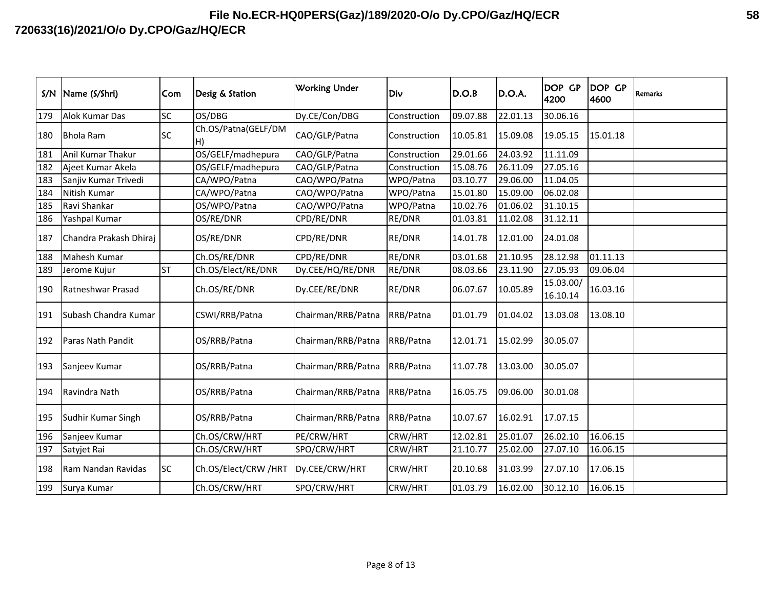| S/N | Name (S/Shri)          | Com       | Desig & Station           | <b>Working Under</b> | Div          | D.O.B    | D.O.A.   | <b>DOP GP</b><br>4200 | <b>DOP GP</b><br>4600 | <b>Remarks</b> |
|-----|------------------------|-----------|---------------------------|----------------------|--------------|----------|----------|-----------------------|-----------------------|----------------|
| 179 | Alok Kumar Das         | SC        | OS/DBG                    | Dy.CE/Con/DBG        | Construction | 09.07.88 | 22.01.13 | 30.06.16              |                       |                |
| 180 | <b>Bhola Ram</b>       | <b>SC</b> | Ch.OS/Patna(GELF/DM<br>H) | CAO/GLP/Patna        | Construction | 10.05.81 | 15.09.08 | 19.05.15              | 15.01.18              |                |
| 181 | Anil Kumar Thakur      |           | OS/GELF/madhepura         | CAO/GLP/Patna        | Construction | 29.01.66 | 24.03.92 | 11.11.09              |                       |                |
| 182 | Ajeet Kumar Akela      |           | OS/GELF/madhepura         | CAO/GLP/Patna        | Construction | 15.08.76 | 26.11.09 | 27.05.16              |                       |                |
| 183 | Sanjiv Kumar Trivedi   |           | CA/WPO/Patna              | CAO/WPO/Patna        | WPO/Patna    | 03.10.77 | 29.06.00 | 11.04.05              |                       |                |
| 184 | Nitish Kumar           |           | CA/WPO/Patna              | CAO/WPO/Patna        | WPO/Patna    | 15.01.80 | 15.09.00 | 06.02.08              |                       |                |
| 185 | Ravi Shankar           |           | OS/WPO/Patna              | CAO/WPO/Patna        | WPO/Patna    | 10.02.76 | 01.06.02 | 31.10.15              |                       |                |
| 186 | Yashpal Kumar          |           | OS/RE/DNR                 | CPD/RE/DNR           | RE/DNR       | 01.03.81 | 11.02.08 | 31.12.11              |                       |                |
| 187 | Chandra Prakash Dhiraj |           | OS/RE/DNR                 | CPD/RE/DNR           | RE/DNR       | 14.01.78 | 12.01.00 | 24.01.08              |                       |                |
| 188 | Mahesh Kumar           |           | Ch.OS/RE/DNR              | CPD/RE/DNR           | RE/DNR       | 03.01.68 | 21.10.95 | 28.12.98              | 01.11.13              |                |
| 189 | Jerome Kujur           | <b>ST</b> | Ch.OS/Elect/RE/DNR        | Dy.CEE/HQ/RE/DNR     | RE/DNR       | 08.03.66 | 23.11.90 | 27.05.93              | 09.06.04              |                |
| 190 | Ratneshwar Prasad      |           | Ch.OS/RE/DNR              | Dy.CEE/RE/DNR        | RE/DNR       | 06.07.67 | 10.05.89 | 15.03.00/<br>16.10.14 | 16.03.16              |                |
| 191 | Subash Chandra Kumar   |           | CSWI/RRB/Patna            | Chairman/RRB/Patna   | RRB/Patna    | 01.01.79 | 01.04.02 | 13.03.08              | 13.08.10              |                |
| 192 | Paras Nath Pandit      |           | OS/RRB/Patna              | Chairman/RRB/Patna   | RRB/Patna    | 12.01.71 | 15.02.99 | 30.05.07              |                       |                |
| 193 | Sanjeev Kumar          |           | OS/RRB/Patna              | Chairman/RRB/Patna   | RRB/Patna    | 11.07.78 | 13.03.00 | 30.05.07              |                       |                |
| 194 | Ravindra Nath          |           | OS/RRB/Patna              | Chairman/RRB/Patna   | RRB/Patna    | 16.05.75 | 09.06.00 | 30.01.08              |                       |                |
| 195 | Sudhir Kumar Singh     |           | OS/RRB/Patna              | Chairman/RRB/Patna   | RRB/Patna    | 10.07.67 | 16.02.91 | 17.07.15              |                       |                |
| 196 | Sanjeev Kumar          |           | Ch.OS/CRW/HRT             | PE/CRW/HRT           | CRW/HRT      | 12.02.81 | 25.01.07 | 26.02.10              | 16.06.15              |                |
| 197 | Satyjet Rai            |           | Ch.OS/CRW/HRT             | SPO/CRW/HRT          | CRW/HRT      | 21.10.77 | 25.02.00 | 27.07.10              | 16.06.15              |                |
| 198 | Ram Nandan Ravidas     | <b>SC</b> | Ch.OS/Elect/CRW /HRT      | Dy.CEE/CRW/HRT       | CRW/HRT      | 20.10.68 | 31.03.99 | 27.07.10              | 17.06.15              |                |
| 199 | Surya Kumar            |           | Ch.OS/CRW/HRT             | SPO/CRW/HRT          | CRW/HRT      | 01.03.79 | 16.02.00 | 30.12.10              | 16.06.15              |                |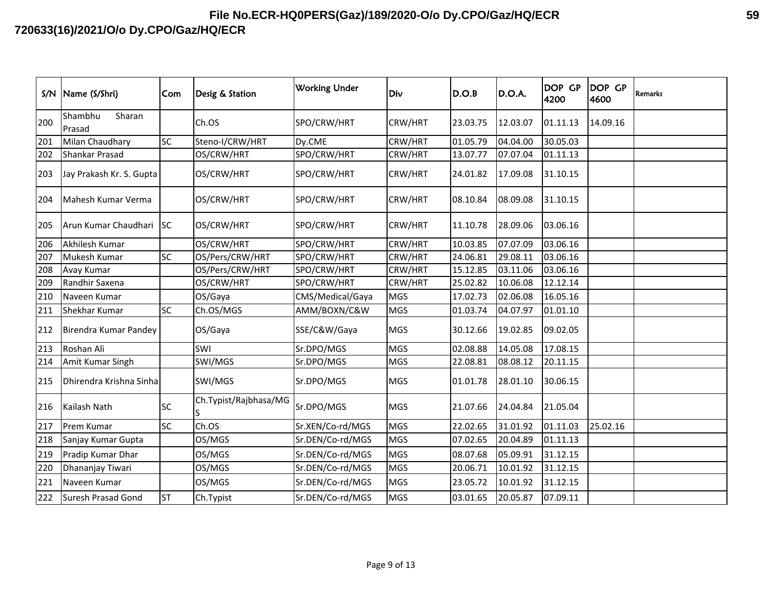| S/N | Name (S/Shri)               | Com       | Desig & Station       | <b>Working Under</b> | Div        | D.O.B    | D.O.A.   | DOP GP<br>4200 | DOP GP<br>4600 | <b>Remarks</b> |
|-----|-----------------------------|-----------|-----------------------|----------------------|------------|----------|----------|----------------|----------------|----------------|
| 200 | Shambhu<br>Sharan<br>Prasad |           | Ch.OS                 | SPO/CRW/HRT          | CRW/HRT    | 23.03.75 | 12.03.07 | 01.11.13       | 14.09.16       |                |
| 201 | Milan Chaudhary             | <b>SC</b> | Steno-I/CRW/HRT       | Dy.CME               | CRW/HRT    | 01.05.79 | 04.04.00 | 30.05.03       |                |                |
| 202 | Shankar Prasad              |           | OS/CRW/HRT            | SPO/CRW/HRT          | CRW/HRT    | 13.07.77 | 07.07.04 | 01.11.13       |                |                |
| 203 | Jay Prakash Kr. S. Gupta    |           | OS/CRW/HRT            | SPO/CRW/HRT          | CRW/HRT    | 24.01.82 | 17.09.08 | 31.10.15       |                |                |
| 204 | Mahesh Kumar Verma          |           | OS/CRW/HRT            | SPO/CRW/HRT          | CRW/HRT    | 08.10.84 | 08.09.08 | 31.10.15       |                |                |
| 205 | Arun Kumar Chaudhari SC     |           | OS/CRW/HRT            | SPO/CRW/HRT          | CRW/HRT    | 11.10.78 | 28.09.06 | 03.06.16       |                |                |
| 206 | Akhilesh Kumar              |           | OS/CRW/HRT            | SPO/CRW/HRT          | CRW/HRT    | 10.03.85 | 07.07.09 | 03.06.16       |                |                |
| 207 | Mukesh Kumar                | SC        | OS/Pers/CRW/HRT       | SPO/CRW/HRT          | CRW/HRT    | 24.06.81 | 29.08.11 | 03.06.16       |                |                |
| 208 | Avay Kumar                  |           | OS/Pers/CRW/HRT       | SPO/CRW/HRT          | CRW/HRT    | 15.12.85 | 03.11.06 | 03.06.16       |                |                |
| 209 | Randhir Saxena              |           | OS/CRW/HRT            | SPO/CRW/HRT          | CRW/HRT    | 25.02.82 | 10.06.08 | 12.12.14       |                |                |
| 210 | Naveen Kumar                |           | OS/Gaya               | CMS/Medical/Gaya     | <b>MGS</b> | 17.02.73 | 02.06.08 | 16.05.16       |                |                |
| 211 | Shekhar Kumar               | <b>SC</b> | Ch.OS/MGS             | AMM/BOXN/C&W         | <b>MGS</b> | 01.03.74 | 04.07.97 | 01.01.10       |                |                |
| 212 | Birendra Kumar Pandey       |           | OS/Gaya               | SSE/C&W/Gaya         | <b>MGS</b> | 30.12.66 | 19.02.85 | 09.02.05       |                |                |
| 213 | Roshan Ali                  |           | SWI                   | Sr.DPO/MGS           | <b>MGS</b> | 02.08.88 | 14.05.08 | 17.08.15       |                |                |
| 214 | Amit Kumar Singh            |           | SWI/MGS               | Sr.DPO/MGS           | <b>MGS</b> | 22.08.81 | 08.08.12 | 20.11.15       |                |                |
| 215 | Dhirendra Krishna Sinha     |           | SWI/MGS               | Sr.DPO/MGS           | <b>MGS</b> | 01.01.78 | 28.01.10 | 30.06.15       |                |                |
| 216 | Kailash Nath                | <b>SC</b> | Ch.Typist/Rajbhasa/MG | Sr.DPO/MGS           | <b>MGS</b> | 21.07.66 | 24.04.84 | 21.05.04       |                |                |
| 217 | Prem Kumar                  | <b>SC</b> | Ch.OS                 | Sr.XEN/Co-rd/MGS     | <b>MGS</b> | 22.02.65 | 31.01.92 | 01.11.03       | 25.02.16       |                |
| 218 | Sanjay Kumar Gupta          |           | OS/MGS                | Sr.DEN/Co-rd/MGS     | <b>MGS</b> | 07.02.65 | 20.04.89 | 01.11.13       |                |                |
| 219 | Pradip Kumar Dhar           |           | OS/MGS                | Sr.DEN/Co-rd/MGS     | <b>MGS</b> | 08.07.68 | 05.09.91 | 31.12.15       |                |                |
| 220 | Dhananjay Tiwari            |           | OS/MGS                | Sr.DEN/Co-rd/MGS     | <b>MGS</b> | 20.06.71 | 10.01.92 | 31.12.15       |                |                |
| 221 | Naveen Kumar                |           | OS/MGS                | Sr.DEN/Co-rd/MGS     | <b>MGS</b> | 23.05.72 | 10.01.92 | 31.12.15       |                |                |
| 222 | Suresh Prasad Gond          | <b>ST</b> | Ch.Typist             | Sr.DEN/Co-rd/MGS     | <b>MGS</b> | 03.01.65 | 20.05.87 | 07.09.11       |                |                |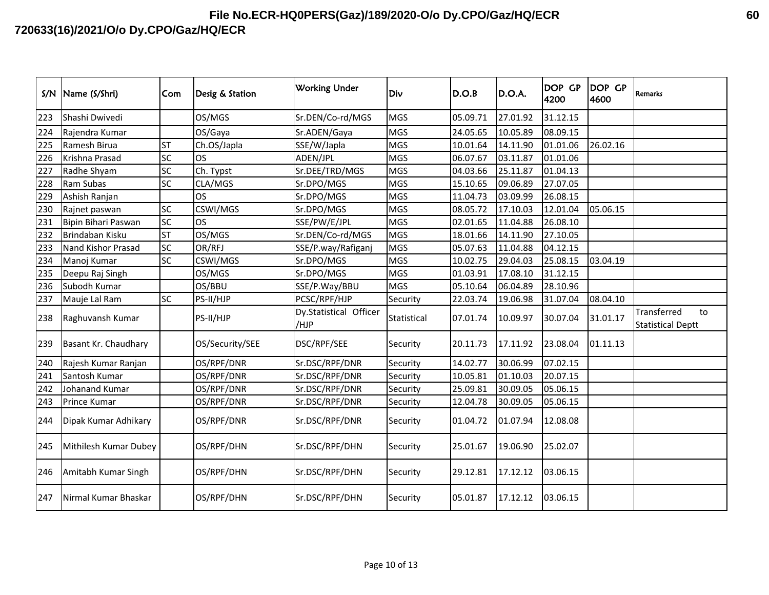| S/N | Name (S/Shri)         | Com       | Desig & Station | <b>Working Under</b>           | Div         | D.O.B    | D.O.A.   | DOP GP<br>4200 | DOP GP<br>4600 | <b>Remarks</b>                                |
|-----|-----------------------|-----------|-----------------|--------------------------------|-------------|----------|----------|----------------|----------------|-----------------------------------------------|
| 223 | Shashi Dwivedi        |           | OS/MGS          | Sr.DEN/Co-rd/MGS               | <b>MGS</b>  | 05.09.71 | 27.01.92 | 31.12.15       |                |                                               |
| 224 | Rajendra Kumar        |           | OS/Gaya         | Sr.ADEN/Gaya                   | <b>MGS</b>  | 24.05.65 | 10.05.89 | 08.09.15       |                |                                               |
| 225 | Ramesh Birua          | <b>ST</b> | Ch.OS/Japla     | SSE/W/Japla                    | <b>MGS</b>  | 10.01.64 | 14.11.90 | 01.01.06       | 26.02.16       |                                               |
| 226 | Krishna Prasad        | SC        | <b>OS</b>       | ADEN/JPL                       | <b>MGS</b>  | 06.07.67 | 03.11.87 | 01.01.06       |                |                                               |
| 227 | Radhe Shyam           | SC        | Ch. Typst       | Sr.DEE/TRD/MGS                 | <b>MGS</b>  | 04.03.66 | 25.11.87 | 01.04.13       |                |                                               |
| 228 | Ram Subas             | SC        | CLA/MGS         | Sr.DPO/MGS                     | <b>MGS</b>  | 15.10.65 | 09.06.89 | 27.07.05       |                |                                               |
| 229 | Ashish Ranjan         |           | <b>OS</b>       | Sr.DPO/MGS                     | <b>MGS</b>  | 11.04.73 | 03.09.99 | 26.08.15       |                |                                               |
| 230 | Rajnet paswan         | SC        | CSWI/MGS        | Sr.DPO/MGS                     | <b>MGS</b>  | 08.05.72 | 17.10.03 | 12.01.04       | 05.06.15       |                                               |
| 231 | Bipin Bihari Paswan   | <b>SC</b> | <b>OS</b>       | SSE/PW/E/JPL                   | <b>MGS</b>  | 02.01.65 | 11.04.88 | 26.08.10       |                |                                               |
| 232 | Brindaban Kisku       | <b>ST</b> | OS/MGS          | Sr.DEN/Co-rd/MGS               | <b>MGS</b>  | 18.01.66 | 14.11.90 | 27.10.05       |                |                                               |
| 233 | Nand Kishor Prasad    | <b>SC</b> | OR/RFJ          | SSE/P.way/Rafiganj             | <b>MGS</b>  | 05.07.63 | 11.04.88 | 04.12.15       |                |                                               |
| 234 | Manoj Kumar           | <b>SC</b> | CSWI/MGS        | Sr.DPO/MGS                     | <b>MGS</b>  | 10.02.75 | 29.04.03 | 25.08.15       | 03.04.19       |                                               |
| 235 | Deepu Raj Singh       |           | OS/MGS          | Sr.DPO/MGS                     | <b>MGS</b>  | 01.03.91 | 17.08.10 | 31.12.15       |                |                                               |
| 236 | Subodh Kumar          |           | OS/BBU          | SSE/P.Way/BBU                  | <b>MGS</b>  | 05.10.64 | 06.04.89 | 28.10.96       |                |                                               |
| 237 | Mauje Lal Ram         | <b>SC</b> | PS-II/HJP       | PCSC/RPF/HJP                   | Security    | 22.03.74 | 19.06.98 | 31.07.04       | 08.04.10       |                                               |
| 238 | Raghuvansh Kumar      |           | PS-II/HJP       | Dy.Statistical Officer<br>/HJP | Statistical | 07.01.74 | 10.09.97 | 30.07.04       | 31.01.17       | Transferred<br>to<br><b>Statistical Deptt</b> |
| 239 | Basant Kr. Chaudhary  |           | OS/Security/SEE | DSC/RPF/SEE                    | Security    | 20.11.73 | 17.11.92 | 23.08.04       | 01.11.13       |                                               |
| 240 | Rajesh Kumar Ranjan   |           | OS/RPF/DNR      | Sr.DSC/RPF/DNR                 | Security    | 14.02.77 | 30.06.99 | 07.02.15       |                |                                               |
| 241 | Santosh Kumar         |           | OS/RPF/DNR      | Sr.DSC/RPF/DNR                 | Security    | 10.05.81 | 01.10.03 | 20.07.15       |                |                                               |
| 242 | Johanand Kumar        |           | OS/RPF/DNR      | Sr.DSC/RPF/DNR                 | Security    | 25.09.81 | 30.09.05 | 05.06.15       |                |                                               |
| 243 | Prince Kumar          |           | OS/RPF/DNR      | Sr.DSC/RPF/DNR                 | Security    | 12.04.78 | 30.09.05 | 05.06.15       |                |                                               |
| 244 | Dipak Kumar Adhikary  |           | OS/RPF/DNR      | Sr.DSC/RPF/DNR                 | Security    | 01.04.72 | 01.07.94 | 12.08.08       |                |                                               |
| 245 | Mithilesh Kumar Dubey |           | OS/RPF/DHN      | Sr.DSC/RPF/DHN                 | Security    | 25.01.67 | 19.06.90 | 25.02.07       |                |                                               |
| 246 | Amitabh Kumar Singh   |           | OS/RPF/DHN      | Sr.DSC/RPF/DHN                 | Security    | 29.12.81 | 17.12.12 | 03.06.15       |                |                                               |
| 247 | Nirmal Kumar Bhaskar  |           | OS/RPF/DHN      | Sr.DSC/RPF/DHN                 | Security    | 05.01.87 | 17.12.12 | 03.06.15       |                |                                               |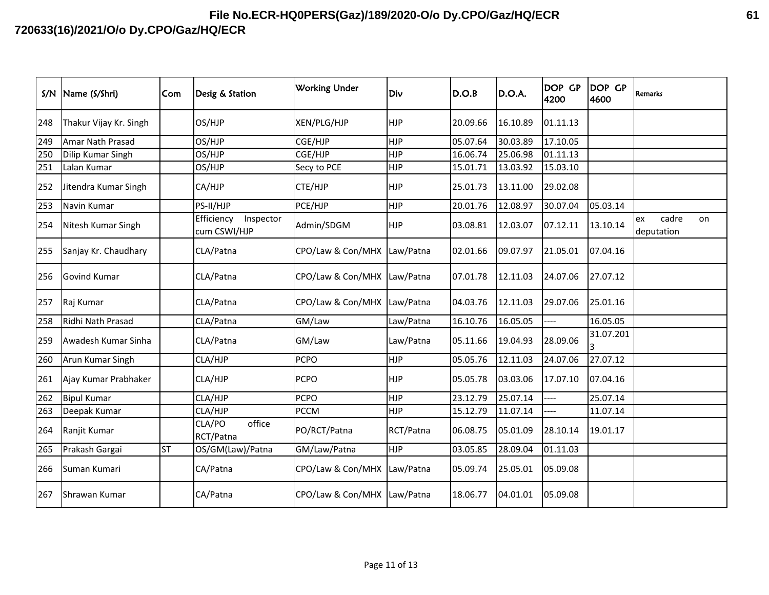| S/N | Name (S/Shri)          | Com       | Desig & Station                         | <b>Working Under</b>        | Div        | D.O.B    | D.O.A.   | <b>DOP GP</b><br>4200 | DOP GP<br>4600 | <b>Remarks</b>                  |
|-----|------------------------|-----------|-----------------------------------------|-----------------------------|------------|----------|----------|-----------------------|----------------|---------------------------------|
| 248 | Thakur Vijay Kr. Singh |           | OS/HJP                                  | XEN/PLG/HJP                 | <b>HJP</b> | 20.09.66 | 16.10.89 | 01.11.13              |                |                                 |
| 249 | Amar Nath Prasad       |           | OS/HJP                                  | CGE/HJP                     | <b>HJP</b> | 05.07.64 | 30.03.89 | 17.10.05              |                |                                 |
| 250 | Dilip Kumar Singh      |           | OS/HJP                                  | CGE/HJP                     | <b>HJP</b> | 16.06.74 | 25.06.98 | 01.11.13              |                |                                 |
| 251 | Lalan Kumar            |           | OS/HJP                                  | Secy to PCE                 | <b>HJP</b> | 15.01.71 | 13.03.92 | 15.03.10              |                |                                 |
| 252 | Jitendra Kumar Singh   |           | CA/HJP                                  | CTE/HJP                     | <b>HJP</b> | 25.01.73 | 13.11.00 | 29.02.08              |                |                                 |
| 253 | Navin Kumar            |           | PS-II/HJP                               | PCE/HJP                     | <b>HJP</b> | 20.01.76 | 12.08.97 | 30.07.04              | 05.03.14       |                                 |
| 254 | Nitesh Kumar Singh     |           | Efficiency<br>Inspector<br>cum CSWI/HJP | Admin/SDGM                  | <b>HJP</b> | 03.08.81 | 12.03.07 | 07.12.11              | 13.10.14       | cadre<br>ex<br>on<br>deputation |
| 255 | Sanjay Kr. Chaudhary   |           | CLA/Patna                               | CPO/Law & Con/MHX           | Law/Patna  | 02.01.66 | 09.07.97 | 21.05.01              | 07.04.16       |                                 |
| 256 | <b>Govind Kumar</b>    |           | CLA/Patna                               | CPO/Law & Con/MHX Law/Patna |            | 07.01.78 | 12.11.03 | 24.07.06              | 27.07.12       |                                 |
| 257 | Raj Kumar              |           | CLA/Patna                               | CPO/Law & Con/MHX Law/Patna |            | 04.03.76 | 12.11.03 | 29.07.06              | 25.01.16       |                                 |
| 258 | Ridhi Nath Prasad      |           | CLA/Patna                               | GM/Law                      | Law/Patna  | 16.10.76 | 16.05.05 | ---                   | 16.05.05       |                                 |
| 259 | Awadesh Kumar Sinha    |           | CLA/Patna                               | GM/Law                      | Law/Patna  | 05.11.66 | 19.04.93 | 28.09.06              | 31.07.201      |                                 |
| 260 | Arun Kumar Singh       |           | CLA/HJP                                 | <b>PCPO</b>                 | <b>HJP</b> | 05.05.76 | 12.11.03 | 24.07.06              | 27.07.12       |                                 |
| 261 | Ajay Kumar Prabhaker   |           | CLA/HJP                                 | <b>PCPO</b>                 | <b>HJP</b> | 05.05.78 | 03.03.06 | 17.07.10              | 07.04.16       |                                 |
| 262 | <b>Bipul Kumar</b>     |           | CLA/HJP                                 | <b>PCPO</b>                 | <b>HJP</b> | 23.12.79 | 25.07.14 | ----                  | 25.07.14       |                                 |
| 263 | Deepak Kumar           |           | CLA/HJP                                 | <b>PCCM</b>                 | <b>HJP</b> | 15.12.79 | 11.07.14 | ---                   | 11.07.14       |                                 |
| 264 | Ranjit Kumar           |           | CLA/PO<br>office<br>RCT/Patna           | PO/RCT/Patna                | RCT/Patna  | 06.08.75 | 05.01.09 | 28.10.14              | 19.01.17       |                                 |
| 265 | Prakash Gargai         | <b>ST</b> | OS/GM(Law)/Patna                        | GM/Law/Patna                | <b>HJP</b> | 03.05.85 | 28.09.04 | 01.11.03              |                |                                 |
| 266 | Suman Kumari           |           | CA/Patna                                | CPO/Law & Con/MHX           | Law/Patna  | 05.09.74 | 25.05.01 | 05.09.08              |                |                                 |
| 267 | Shrawan Kumar          |           | CA/Patna                                | CPO/Law & Con/MHX Law/Patna |            | 18.06.77 | 04.01.01 | 05.09.08              |                |                                 |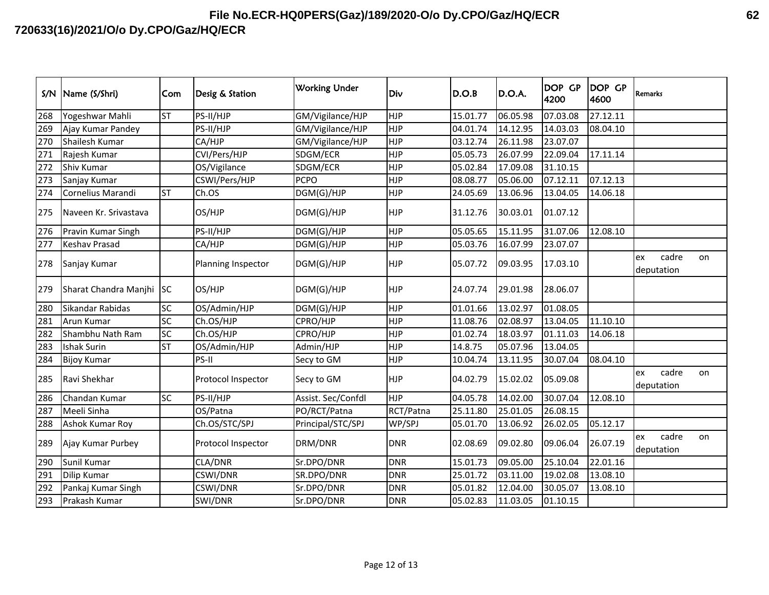| S/N | Name (S/Shri)            | Com       | Desig & Station    | <b>Working Under</b> | Div        | D.O.B    | D.O.A.   | DOP GP<br>4200 | <b>DOP GP</b><br>4600 | <b>Remarks</b>                  |
|-----|--------------------------|-----------|--------------------|----------------------|------------|----------|----------|----------------|-----------------------|---------------------------------|
| 268 | Yogeshwar Mahli          | <b>ST</b> | PS-II/HJP          | GM/Vigilance/HJP     | <b>HJP</b> | 15.01.77 | 06.05.98 | 07.03.08       | 27.12.11              |                                 |
| 269 | Ajay Kumar Pandey        |           | PS-II/HJP          | GM/Vigilance/HJP     | <b>HJP</b> | 04.01.74 | 14.12.95 | 14.03.03       | 08.04.10              |                                 |
| 270 | Shailesh Kumar           |           | CA/HJP             | GM/Vigilance/HJP     | <b>HJP</b> | 03.12.74 | 26.11.98 | 23.07.07       |                       |                                 |
| 271 | Rajesh Kumar             |           | CVI/Pers/HJP       | SDGM/ECR             | <b>HJP</b> | 05.05.73 | 26.07.99 | 22.09.04       | 17.11.14              |                                 |
| 272 | Shiv Kumar               |           | OS/Vigilance       | SDGM/ECR             | <b>HJP</b> | 05.02.84 | 17.09.08 | 31.10.15       |                       |                                 |
| 273 | Sanjay Kumar             |           | CSWI/Pers/HJP      | <b>PCPO</b>          | <b>HJP</b> | 08.08.77 | 05.06.00 | 07.12.11       | 07.12.13              |                                 |
| 274 | Cornelius Marandi        | <b>ST</b> | Ch.OS              | DGM(G)/HJP           | <b>HJP</b> | 24.05.69 | 13.06.96 | 13.04.05       | 14.06.18              |                                 |
| 275 | Naveen Kr. Srivastava    |           | OS/HJP             | DGM(G)/HJP           | <b>HJP</b> | 31.12.76 | 30.03.01 | 01.07.12       |                       |                                 |
| 276 | Pravin Kumar Singh       |           | PS-II/HJP          | DGM(G)/HJP           | <b>HJP</b> | 05.05.65 | 15.11.95 | 31.07.06       | 12.08.10              |                                 |
| 277 | <b>Keshav Prasad</b>     |           | CA/HJP             | DGM(G)/HJP           | <b>HJP</b> | 05.03.76 | 16.07.99 | 23.07.07       |                       |                                 |
| 278 | Sanjay Kumar             |           | Planning Inspector | DGM(G)/HJP           | <b>HJP</b> | 05.07.72 | 09.03.95 | 17.03.10       |                       | cadre<br>on<br>ex<br>deputation |
| 279 | Sharat Chandra Manjhi SC |           | OS/HJP             | DGM(G)/HJP           | <b>HJP</b> | 24.07.74 | 29.01.98 | 28.06.07       |                       |                                 |
| 280 | Sikandar Rabidas         | SC        | OS/Admin/HJP       | DGM(G)/HJP           | <b>HJP</b> | 01.01.66 | 13.02.97 | 01.08.05       |                       |                                 |
| 281 | Arun Kumar               | SC        | Ch.OS/HJP          | CPRO/HJP             | <b>HJP</b> | 11.08.76 | 02.08.97 | 13.04.05       | 11.10.10              |                                 |
| 282 | Shambhu Nath Ram         | <b>SC</b> | Ch.OS/HJP          | CPRO/HJP             | <b>HJP</b> | 01.02.74 | 18.03.97 | 01.11.03       | 14.06.18              |                                 |
| 283 | <b>Ishak Surin</b>       | <b>ST</b> | OS/Admin/HJP       | Admin/HJP            | <b>HJP</b> | 14.8.75  | 05.07.96 | 13.04.05       |                       |                                 |
| 284 | <b>Bijoy Kumar</b>       |           | PS-II              | Secy to GM           | <b>HJP</b> | 10.04.74 | 13.11.95 | 30.07.04       | 08.04.10              |                                 |
| 285 | Ravi Shekhar             |           | Protocol Inspector | Secy to GM           | <b>HJP</b> | 04.02.79 | 15.02.02 | 05.09.08       |                       | cadre<br>ex<br>on<br>deputation |
| 286 | Chandan Kumar            | SC        | PS-II/HJP          | Assist. Sec/Confdl   | <b>HJP</b> | 04.05.78 | 14.02.00 | 30.07.04       | 12.08.10              |                                 |
| 287 | Meeli Sinha              |           | OS/Patna           | PO/RCT/Patna         | RCT/Patna  | 25.11.80 | 25.01.05 | 26.08.15       |                       |                                 |
| 288 | Ashok Kumar Roy          |           | Ch.OS/STC/SPJ      | Principal/STC/SPJ    | WP/SPJ     | 05.01.70 | 13.06.92 | 26.02.05       | 05.12.17              |                                 |
| 289 | Ajay Kumar Purbey        |           | Protocol Inspector | DRM/DNR              | <b>DNR</b> | 02.08.69 | 09.02.80 | 09.06.04       | 26.07.19              | cadre<br>ex<br>on<br>deputation |
| 290 | Sunil Kumar              |           | CLA/DNR            | Sr.DPO/DNR           | <b>DNR</b> | 15.01.73 | 09.05.00 | 25.10.04       | 22.01.16              |                                 |
| 291 | Dilip Kumar              |           | CSWI/DNR           | SR.DPO/DNR           | <b>DNR</b> | 25.01.72 | 03.11.00 | 19.02.08       | 13.08.10              |                                 |
| 292 | Pankaj Kumar Singh       |           | CSWI/DNR           | Sr.DPO/DNR           | <b>DNR</b> | 05.01.82 | 12.04.00 | 30.05.07       | 13.08.10              |                                 |
| 293 | Prakash Kumar            |           | SWI/DNR            | Sr.DPO/DNR           | <b>DNR</b> | 05.02.83 | 11.03.05 | 01.10.15       |                       |                                 |